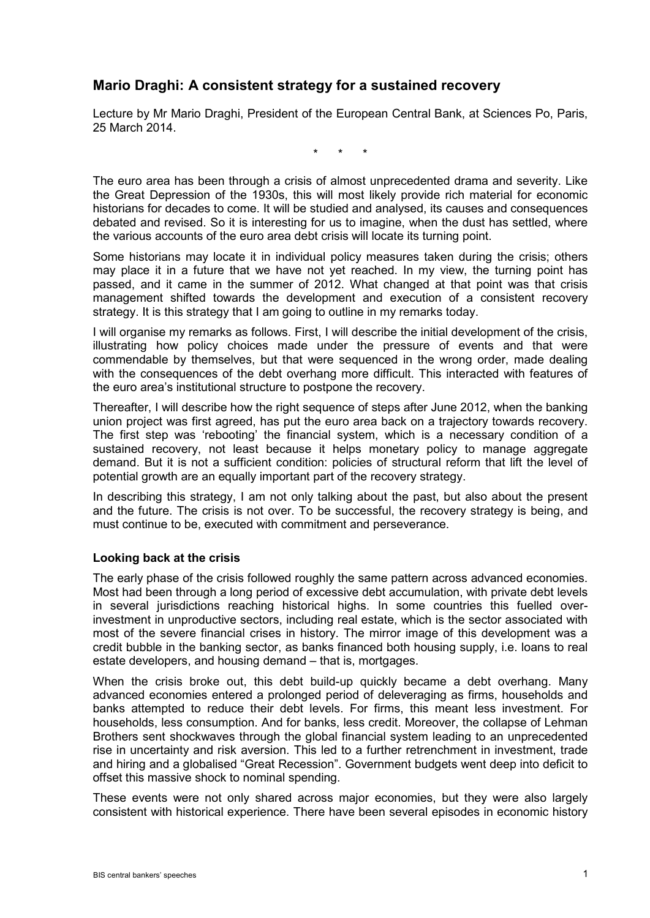# **Mario Draghi: A consistent strategy for a sustained recovery**

Lecture by Mr Mario Draghi, President of the European Central Bank, at Sciences Po, Paris, 25 March 2014.

\* \* \*

The euro area has been through a crisis of almost unprecedented drama and severity. Like the Great Depression of the 1930s, this will most likely provide rich material for economic historians for decades to come. It will be studied and analysed, its causes and consequences debated and revised. So it is interesting for us to imagine, when the dust has settled, where the various accounts of the euro area debt crisis will locate its turning point.

Some historians may locate it in individual policy measures taken during the crisis; others may place it in a future that we have not yet reached. In my view, the turning point has passed, and it came in the summer of 2012. What changed at that point was that crisis management shifted towards the development and execution of a consistent recovery strategy. It is this strategy that I am going to outline in my remarks today.

I will organise my remarks as follows. First, I will describe the initial development of the crisis, illustrating how policy choices made under the pressure of events and that were commendable by themselves, but that were sequenced in the wrong order, made dealing with the consequences of the debt overhang more difficult. This interacted with features of the euro area's institutional structure to postpone the recovery.

Thereafter, I will describe how the right sequence of steps after June 2012, when the banking union project was first agreed, has put the euro area back on a trajectory towards recovery. The first step was 'rebooting' the financial system, which is a necessary condition of a sustained recovery, not least because it helps monetary policy to manage aggregate demand. But it is not a sufficient condition: policies of structural reform that lift the level of potential growth are an equally important part of the recovery strategy.

In describing this strategy, I am not only talking about the past, but also about the present and the future. The crisis is not over. To be successful, the recovery strategy is being, and must continue to be, executed with commitment and perseverance.

# **Looking back at the crisis**

The early phase of the crisis followed roughly the same pattern across advanced economies. Most had been through a long period of excessive debt accumulation, with private debt levels in several jurisdictions reaching historical highs. In some countries this fuelled overinvestment in unproductive sectors, including real estate, which is the sector associated with most of the severe financial crises in history. The mirror image of this development was a credit bubble in the banking sector, as banks financed both housing supply, i.e. loans to real estate developers, and housing demand – that is, mortgages.

When the crisis broke out, this debt build-up quickly became a debt overhang. Many advanced economies entered a prolonged period of deleveraging as firms, households and banks attempted to reduce their debt levels. For firms, this meant less investment. For households, less consumption. And for banks, less credit. Moreover, the collapse of Lehman Brothers sent shockwaves through the global financial system leading to an unprecedented rise in uncertainty and risk aversion. This led to a further retrenchment in investment, trade and hiring and a globalised "Great Recession". Government budgets went deep into deficit to offset this massive shock to nominal spending.

These events were not only shared across major economies, but they were also largely consistent with historical experience. There have been several episodes in economic history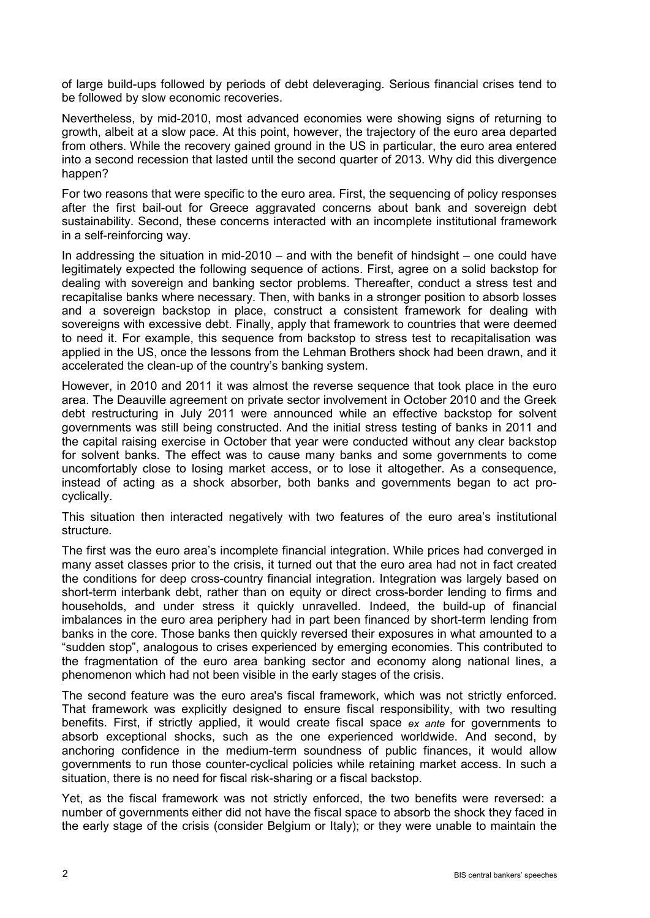of large build-ups followed by periods of debt deleveraging. Serious financial crises tend to be followed by slow economic recoveries.

Nevertheless, by mid-2010, most advanced economies were showing signs of returning to growth, albeit at a slow pace. At this point, however, the trajectory of the euro area departed from others. While the recovery gained ground in the US in particular, the euro area entered into a second recession that lasted until the second quarter of 2013. Why did this divergence happen?

For two reasons that were specific to the euro area. First, the sequencing of policy responses after the first bail-out for Greece aggravated concerns about bank and sovereign debt sustainability. Second, these concerns interacted with an incomplete institutional framework in a self-reinforcing way.

In addressing the situation in mid-2010 – and with the benefit of hindsight – one could have legitimately expected the following sequence of actions. First, agree on a solid backstop for dealing with sovereign and banking sector problems. Thereafter, conduct a stress test and recapitalise banks where necessary. Then, with banks in a stronger position to absorb losses and a sovereign backstop in place, construct a consistent framework for dealing with sovereigns with excessive debt. Finally, apply that framework to countries that were deemed to need it. For example, this sequence from backstop to stress test to recapitalisation was applied in the US, once the lessons from the Lehman Brothers shock had been drawn, and it accelerated the clean-up of the country's banking system.

However, in 2010 and 2011 it was almost the reverse sequence that took place in the euro area. The Deauville agreement on private sector involvement in October 2010 and the Greek debt restructuring in July 2011 were announced while an effective backstop for solvent governments was still being constructed. And the initial stress testing of banks in 2011 and the capital raising exercise in October that year were conducted without any clear backstop for solvent banks. The effect was to cause many banks and some governments to come uncomfortably close to losing market access, or to lose it altogether. As a consequence, instead of acting as a shock absorber, both banks and governments began to act procyclically.

This situation then interacted negatively with two features of the euro area's institutional structure.

The first was the euro area's incomplete financial integration. While prices had converged in many asset classes prior to the crisis, it turned out that the euro area had not in fact created the conditions for deep cross-country financial integration. Integration was largely based on short-term interbank debt, rather than on equity or direct cross-border lending to firms and households, and under stress it quickly unravelled. Indeed, the build-up of financial imbalances in the euro area periphery had in part been financed by short-term lending from banks in the core. Those banks then quickly reversed their exposures in what amounted to a "sudden stop", analogous to crises experienced by emerging economies. This contributed to the fragmentation of the euro area banking sector and economy along national lines, a phenomenon which had not been visible in the early stages of the crisis.

The second feature was the euro area's fiscal framework, which was not strictly enforced. That framework was explicitly designed to ensure fiscal responsibility, with two resulting benefits. First, if strictly applied, it would create fiscal space *ex ante* for governments to absorb exceptional shocks, such as the one experienced worldwide. And second, by anchoring confidence in the medium-term soundness of public finances, it would allow governments to run those counter-cyclical policies while retaining market access. In such a situation, there is no need for fiscal risk-sharing or a fiscal backstop.

Yet, as the fiscal framework was not strictly enforced, the two benefits were reversed: a number of governments either did not have the fiscal space to absorb the shock they faced in the early stage of the crisis (consider Belgium or Italy); or they were unable to maintain the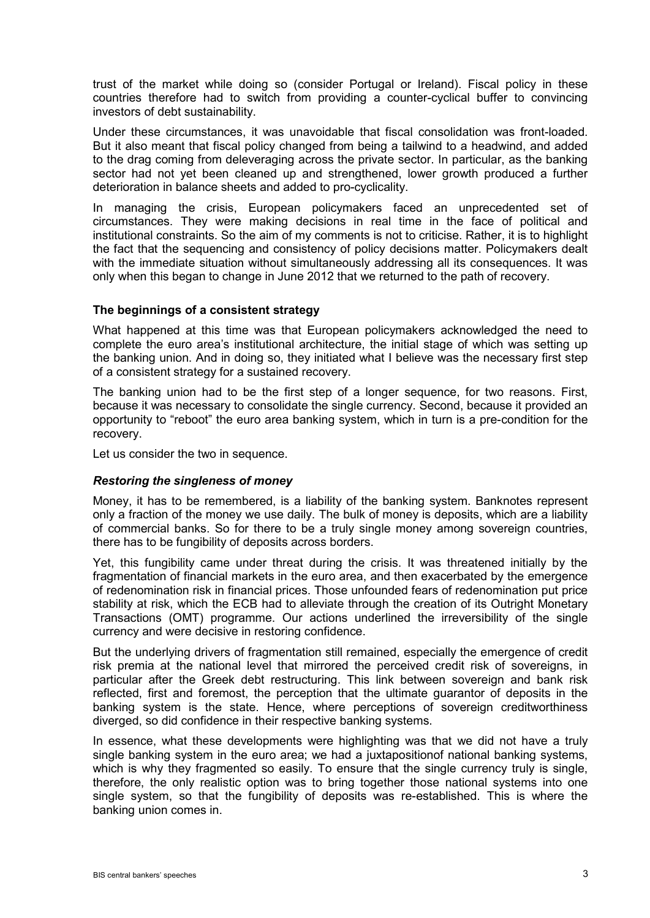trust of the market while doing so (consider Portugal or Ireland). Fiscal policy in these countries therefore had to switch from providing a counter-cyclical buffer to convincing investors of debt sustainability.

Under these circumstances, it was unavoidable that fiscal consolidation was front-loaded. But it also meant that fiscal policy changed from being a tailwind to a headwind, and added to the drag coming from deleveraging across the private sector. In particular, as the banking sector had not yet been cleaned up and strengthened, lower growth produced a further deterioration in balance sheets and added to pro-cyclicality.

In managing the crisis, European policymakers faced an unprecedented set of circumstances. They were making decisions in real time in the face of political and institutional constraints. So the aim of my comments is not to criticise. Rather, it is to highlight the fact that the sequencing and consistency of policy decisions matter. Policymakers dealt with the immediate situation without simultaneously addressing all its consequences. It was only when this began to change in June 2012 that we returned to the path of recovery.

# **The beginnings of a consistent strategy**

What happened at this time was that European policymakers acknowledged the need to complete the euro area's institutional architecture, the initial stage of which was setting up the banking union. And in doing so, they initiated what I believe was the necessary first step of a consistent strategy for a sustained recovery.

The banking union had to be the first step of a longer sequence, for two reasons. First, because it was necessary to consolidate the single currency. Second, because it provided an opportunity to "reboot" the euro area banking system, which in turn is a pre-condition for the recovery.

Let us consider the two in sequence.

#### *Restoring the singleness of money*

Money, it has to be remembered, is a liability of the banking system. Banknotes represent only a fraction of the money we use daily. The bulk of money is deposits, which are a liability of commercial banks. So for there to be a truly single money among sovereign countries, there has to be fungibility of deposits across borders.

Yet, this fungibility came under threat during the crisis. It was threatened initially by the fragmentation of financial markets in the euro area, and then exacerbated by the emergence of redenomination risk in financial prices. Those unfounded fears of redenomination put price stability at risk, which the ECB had to alleviate through the creation of its Outright Monetary Transactions (OMT) programme. Our actions underlined the irreversibility of the single currency and were decisive in restoring confidence.

But the underlying drivers of fragmentation still remained, especially the emergence of credit risk premia at the national level that mirrored the perceived credit risk of sovereigns, in particular after the Greek debt restructuring. This link between sovereign and bank risk reflected, first and foremost, the perception that the ultimate guarantor of deposits in the banking system is the state. Hence, where perceptions of sovereign creditworthiness diverged, so did confidence in their respective banking systems.

In essence, what these developments were highlighting was that we did not have a truly single banking system in the euro area; we had a juxtapositionof national banking systems, which is why they fragmented so easily. To ensure that the single currency truly is single, therefore, the only realistic option was to bring together those national systems into one single system, so that the fungibility of deposits was re-established. This is where the banking union comes in.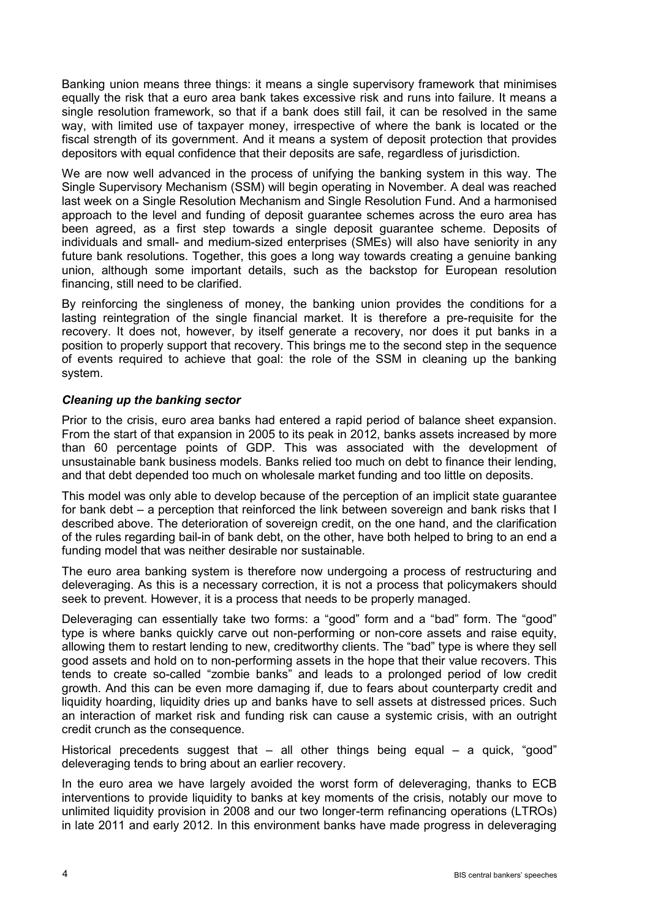Banking union means three things: it means a single supervisory framework that minimises equally the risk that a euro area bank takes excessive risk and runs into failure. It means a single resolution framework, so that if a bank does still fail, it can be resolved in the same way, with limited use of taxpayer money, irrespective of where the bank is located or the fiscal strength of its government. And it means a system of deposit protection that provides depositors with equal confidence that their deposits are safe, regardless of jurisdiction.

We are now well advanced in the process of unifying the banking system in this way. The Single Supervisory Mechanism (SSM) will begin operating in November. A deal was reached last week on a Single Resolution Mechanism and Single Resolution Fund. And a harmonised approach to the level and funding of deposit guarantee schemes across the euro area has been agreed, as a first step towards a single deposit guarantee scheme. Deposits of individuals and small- and medium-sized enterprises (SMEs) will also have seniority in any future bank resolutions. Together, this goes a long way towards creating a genuine banking union, although some important details, such as the backstop for European resolution financing, still need to be clarified.

By reinforcing the singleness of money, the banking union provides the conditions for a lasting reintegration of the single financial market. It is therefore a pre-requisite for the recovery. It does not, however, by itself generate a recovery, nor does it put banks in a position to properly support that recovery. This brings me to the second step in the sequence of events required to achieve that goal: the role of the SSM in cleaning up the banking system.

# *Cleaning up the banking sector*

Prior to the crisis, euro area banks had entered a rapid period of balance sheet expansion. From the start of that expansion in 2005 to its peak in 2012, banks assets increased by more than 60 percentage points of GDP. This was associated with the development of unsustainable bank business models. Banks relied too much on debt to finance their lending, and that debt depended too much on wholesale market funding and too little on deposits.

This model was only able to develop because of the perception of an implicit state guarantee for bank debt – a perception that reinforced the link between sovereign and bank risks that I described above. The deterioration of sovereign credit, on the one hand, and the clarification of the rules regarding bail-in of bank debt, on the other, have both helped to bring to an end a funding model that was neither desirable nor sustainable.

The euro area banking system is therefore now undergoing a process of restructuring and deleveraging. As this is a necessary correction, it is not a process that policymakers should seek to prevent. However, it is a process that needs to be properly managed.

Deleveraging can essentially take two forms: a "good" form and a "bad" form. The "good" type is where banks quickly carve out non-performing or non-core assets and raise equity, allowing them to restart lending to new, creditworthy clients. The "bad" type is where they sell good assets and hold on to non-performing assets in the hope that their value recovers. This tends to create so-called "zombie banks" and leads to a prolonged period of low credit growth. And this can be even more damaging if, due to fears about counterparty credit and liquidity hoarding, liquidity dries up and banks have to sell assets at distressed prices. Such an interaction of market risk and funding risk can cause a systemic crisis, with an outright credit crunch as the consequence.

Historical precedents suggest that  $-$  all other things being equal  $-$  a quick, "good" deleveraging tends to bring about an earlier recovery.

In the euro area we have largely avoided the worst form of deleveraging, thanks to ECB interventions to provide liquidity to banks at key moments of the crisis, notably our move to unlimited liquidity provision in 2008 and our two longer-term refinancing operations (LTROs) in late 2011 and early 2012. In this environment banks have made progress in deleveraging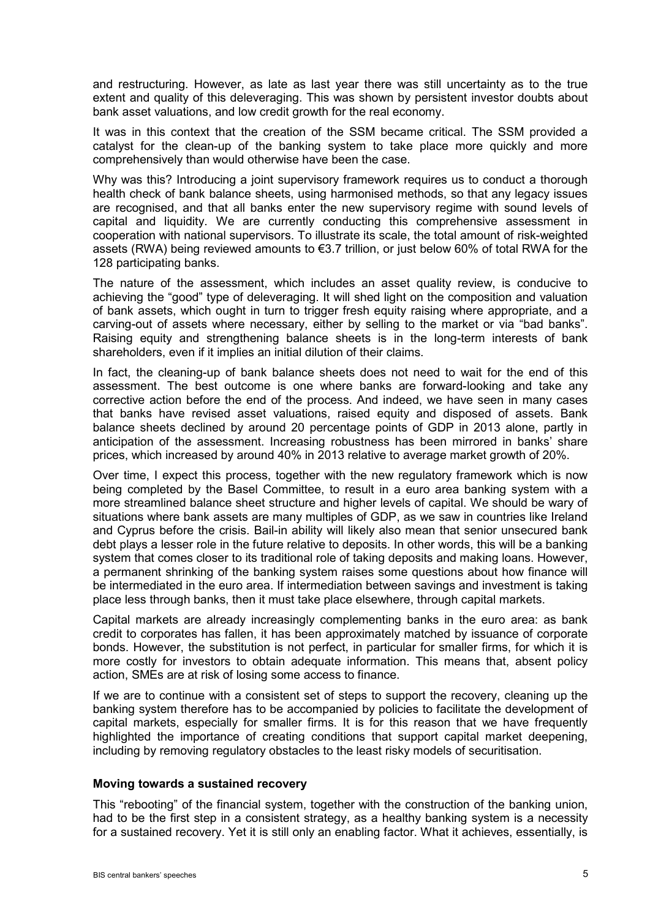and restructuring. However, as late as last year there was still uncertainty as to the true extent and quality of this deleveraging. This was shown by persistent investor doubts about bank asset valuations, and low credit growth for the real economy.

It was in this context that the creation of the SSM became critical. The SSM provided a catalyst for the clean-up of the banking system to take place more quickly and more comprehensively than would otherwise have been the case.

Why was this? Introducing a joint supervisory framework requires us to conduct a thorough health check of bank balance sheets, using harmonised methods, so that any legacy issues are recognised, and that all banks enter the new supervisory regime with sound levels of capital and liquidity. We are currently conducting this comprehensive assessment in cooperation with national supervisors. To illustrate its scale, the total amount of risk-weighted assets (RWA) being reviewed amounts to €3.7 trillion, or just below 60% of total RWA for the 128 participating banks.

The nature of the assessment, which includes an asset quality review, is conducive to achieving the "good" type of deleveraging. It will shed light on the composition and valuation of bank assets, which ought in turn to trigger fresh equity raising where appropriate, and a carving-out of assets where necessary, either by selling to the market or via "bad banks". Raising equity and strengthening balance sheets is in the long-term interests of bank shareholders, even if it implies an initial dilution of their claims.

In fact, the cleaning-up of bank balance sheets does not need to wait for the end of this assessment. The best outcome is one where banks are forward-looking and take any corrective action before the end of the process. And indeed, we have seen in many cases that banks have revised asset valuations, raised equity and disposed of assets. Bank balance sheets declined by around 20 percentage points of GDP in 2013 alone, partly in anticipation of the assessment. Increasing robustness has been mirrored in banks' share prices, which increased by around 40% in 2013 relative to average market growth of 20%.

Over time, I expect this process, together with the new regulatory framework which is now being completed by the Basel Committee, to result in a euro area banking system with a more streamlined balance sheet structure and higher levels of capital. We should be wary of situations where bank assets are many multiples of GDP, as we saw in countries like Ireland and Cyprus before the crisis. Bail-in ability will likely also mean that senior unsecured bank debt plays a lesser role in the future relative to deposits. In other words, this will be a banking system that comes closer to its traditional role of taking deposits and making loans. However, a permanent shrinking of the banking system raises some questions about how finance will be intermediated in the euro area. If intermediation between savings and investment is taking place less through banks, then it must take place elsewhere, through capital markets.

Capital markets are already increasingly complementing banks in the euro area: as bank credit to corporates has fallen, it has been approximately matched by issuance of corporate bonds. However, the substitution is not perfect, in particular for smaller firms, for which it is more costly for investors to obtain adequate information. This means that, absent policy action, SMEs are at risk of losing some access to finance.

If we are to continue with a consistent set of steps to support the recovery, cleaning up the banking system therefore has to be accompanied by policies to facilitate the development of capital markets, especially for smaller firms. It is for this reason that we have frequently highlighted the importance of creating conditions that support capital market deepening, including by removing regulatory obstacles to the least risky models of securitisation.

### **Moving towards a sustained recovery**

This "rebooting" of the financial system, together with the construction of the banking union, had to be the first step in a consistent strategy, as a healthy banking system is a necessity for a sustained recovery. Yet it is still only an enabling factor. What it achieves, essentially, is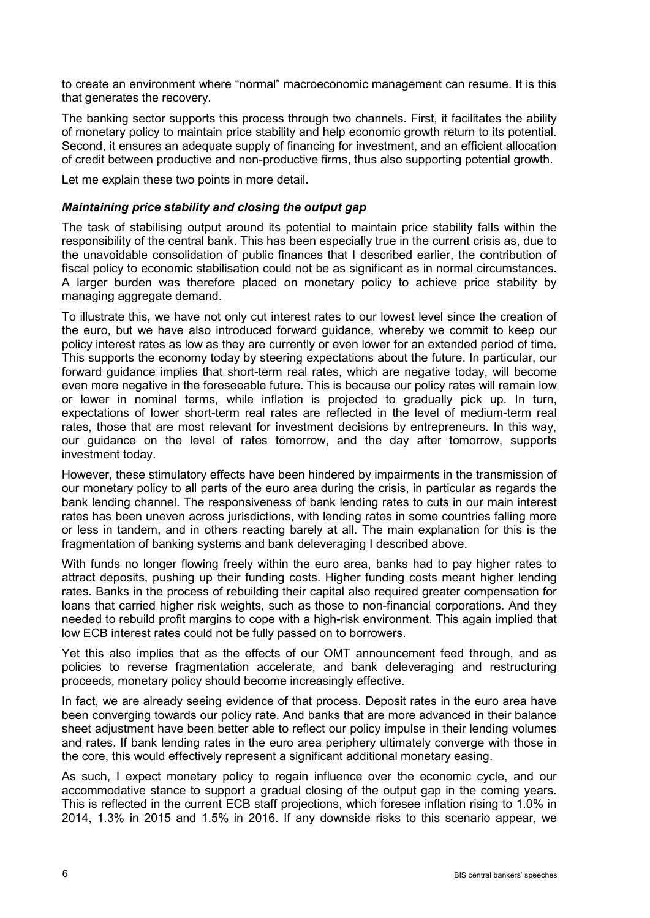to create an environment where "normal" macroeconomic management can resume. It is this that generates the recovery.

The banking sector supports this process through two channels. First, it facilitates the ability of monetary policy to maintain price stability and help economic growth return to its potential. Second, it ensures an adequate supply of financing for investment, and an efficient allocation of credit between productive and non-productive firms, thus also supporting potential growth.

Let me explain these two points in more detail.

## *Maintaining price stability and closing the output gap*

The task of stabilising output around its potential to maintain price stability falls within the responsibility of the central bank. This has been especially true in the current crisis as, due to the unavoidable consolidation of public finances that I described earlier, the contribution of fiscal policy to economic stabilisation could not be as significant as in normal circumstances. A larger burden was therefore placed on monetary policy to achieve price stability by managing aggregate demand.

To illustrate this, we have not only cut interest rates to our lowest level since the creation of the euro, but we have also introduced forward guidance, whereby we commit to keep our policy interest rates as low as they are currently or even lower for an extended period of time. This supports the economy today by steering expectations about the future. In particular, our forward guidance implies that short-term real rates, which are negative today, will become even more negative in the foreseeable future. This is because our policy rates will remain low or lower in nominal terms, while inflation is projected to gradually pick up. In turn, expectations of lower short-term real rates are reflected in the level of medium-term real rates, those that are most relevant for investment decisions by entrepreneurs. In this way, our guidance on the level of rates tomorrow, and the day after tomorrow, supports investment today.

However, these stimulatory effects have been hindered by impairments in the transmission of our monetary policy to all parts of the euro area during the crisis, in particular as regards the bank lending channel. The responsiveness of bank lending rates to cuts in our main interest rates has been uneven across jurisdictions, with lending rates in some countries falling more or less in tandem, and in others reacting barely at all. The main explanation for this is the fragmentation of banking systems and bank deleveraging I described above.

With funds no longer flowing freely within the euro area, banks had to pay higher rates to attract deposits, pushing up their funding costs. Higher funding costs meant higher lending rates. Banks in the process of rebuilding their capital also required greater compensation for loans that carried higher risk weights, such as those to non-financial corporations. And they needed to rebuild profit margins to cope with a high-risk environment. This again implied that low ECB interest rates could not be fully passed on to borrowers.

Yet this also implies that as the effects of our OMT announcement feed through, and as policies to reverse fragmentation accelerate, and bank deleveraging and restructuring proceeds, monetary policy should become increasingly effective.

In fact, we are already seeing evidence of that process. Deposit rates in the euro area have been converging towards our policy rate. And banks that are more advanced in their balance sheet adjustment have been better able to reflect our policy impulse in their lending volumes and rates. If bank lending rates in the euro area periphery ultimately converge with those in the core, this would effectively represent a significant additional monetary easing.

As such, I expect monetary policy to regain influence over the economic cycle, and our accommodative stance to support a gradual closing of the output gap in the coming years. This is reflected in the current ECB staff projections, which foresee inflation rising to 1.0% in 2014, 1.3% in 2015 and 1.5% in 2016. If any downside risks to this scenario appear, we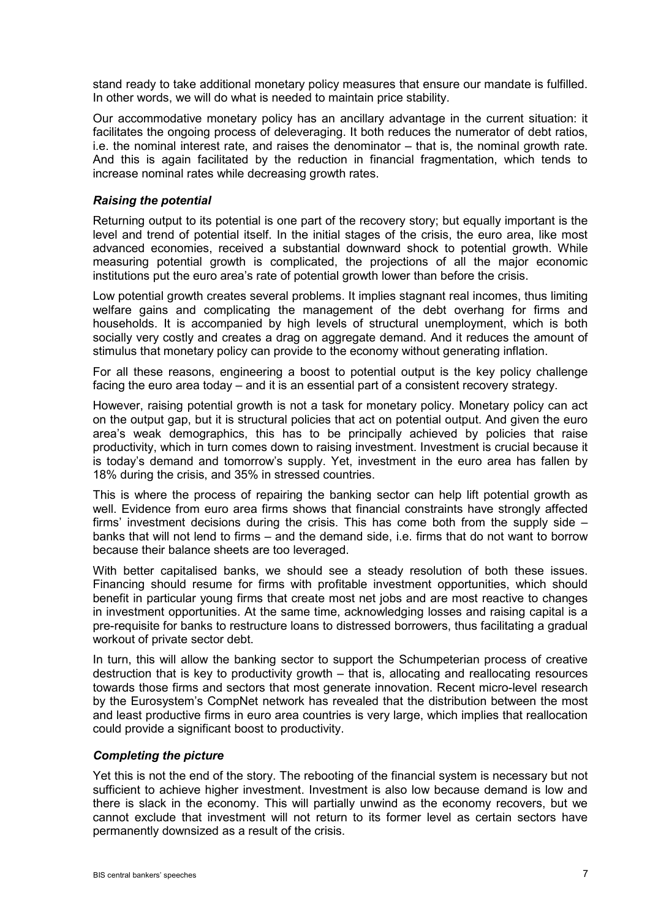stand ready to take additional monetary policy measures that ensure our mandate is fulfilled. In other words, we will do what is needed to maintain price stability.

Our accommodative monetary policy has an ancillary advantage in the current situation: it facilitates the ongoing process of deleveraging. It both reduces the numerator of debt ratios, i.e. the nominal interest rate, and raises the denominator – that is, the nominal growth rate. And this is again facilitated by the reduction in financial fragmentation, which tends to increase nominal rates while decreasing growth rates.

## *Raising the potential*

Returning output to its potential is one part of the recovery story; but equally important is the level and trend of potential itself. In the initial stages of the crisis, the euro area, like most advanced economies, received a substantial downward shock to potential growth. While measuring potential growth is complicated, the projections of all the major economic institutions put the euro area's rate of potential growth lower than before the crisis.

Low potential growth creates several problems. It implies stagnant real incomes, thus limiting welfare gains and complicating the management of the debt overhang for firms and households. It is accompanied by high levels of structural unemployment, which is both socially very costly and creates a drag on aggregate demand. And it reduces the amount of stimulus that monetary policy can provide to the economy without generating inflation.

For all these reasons, engineering a boost to potential output is the key policy challenge facing the euro area today – and it is an essential part of a consistent recovery strategy.

However, raising potential growth is not a task for monetary policy. Monetary policy can act on the output gap, but it is structural policies that act on potential output. And given the euro area's weak demographics, this has to be principally achieved by policies that raise productivity, which in turn comes down to raising investment. Investment is crucial because it is today's demand and tomorrow's supply. Yet, investment in the euro area has fallen by 18% during the crisis, and 35% in stressed countries.

This is where the process of repairing the banking sector can help lift potential growth as well. Evidence from euro area firms shows that financial constraints have strongly affected firms' investment decisions during the crisis. This has come both from the supply side – banks that will not lend to firms – and the demand side, i.e. firms that do not want to borrow because their balance sheets are too leveraged.

With better capitalised banks, we should see a steady resolution of both these issues. Financing should resume for firms with profitable investment opportunities, which should benefit in particular young firms that create most net jobs and are most reactive to changes in investment opportunities. At the same time, acknowledging losses and raising capital is a pre-requisite for banks to restructure loans to distressed borrowers, thus facilitating a gradual workout of private sector debt.

In turn, this will allow the banking sector to support the Schumpeterian process of creative destruction that is key to productivity growth – that is, allocating and reallocating resources towards those firms and sectors that most generate innovation. Recent micro-level research by the Eurosystem's CompNet network has revealed that the distribution between the most and least productive firms in euro area countries is very large, which implies that reallocation could provide a significant boost to productivity.

#### *Completing the picture*

Yet this is not the end of the story. The rebooting of the financial system is necessary but not sufficient to achieve higher investment. Investment is also low because demand is low and there is slack in the economy. This will partially unwind as the economy recovers, but we cannot exclude that investment will not return to its former level as certain sectors have permanently downsized as a result of the crisis.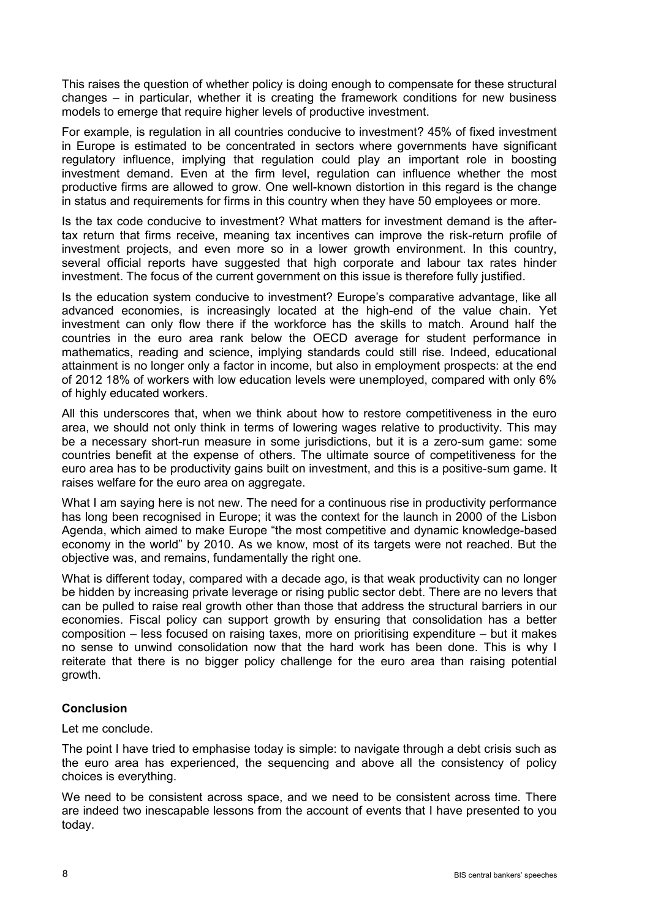This raises the question of whether policy is doing enough to compensate for these structural changes – in particular, whether it is creating the framework conditions for new business models to emerge that require higher levels of productive investment.

For example, is regulation in all countries conducive to investment? 45% of fixed investment in Europe is estimated to be concentrated in sectors where governments have significant regulatory influence, implying that regulation could play an important role in boosting investment demand. Even at the firm level, regulation can influence whether the most productive firms are allowed to grow. One well-known distortion in this regard is the change in status and requirements for firms in this country when they have 50 employees or more.

Is the tax code conducive to investment? What matters for investment demand is the aftertax return that firms receive, meaning tax incentives can improve the risk-return profile of investment projects, and even more so in a lower growth environment. In this country, several official reports have suggested that high corporate and labour tax rates hinder investment. The focus of the current government on this issue is therefore fully justified.

Is the education system conducive to investment? Europe's comparative advantage, like all advanced economies, is increasingly located at the high-end of the value chain. Yet investment can only flow there if the workforce has the skills to match. Around half the countries in the euro area rank below the OECD average for student performance in mathematics, reading and science, implying standards could still rise. Indeed, educational attainment is no longer only a factor in income, but also in employment prospects: at the end of 2012 18% of workers with low education levels were unemployed, compared with only 6% of highly educated workers.

All this underscores that, when we think about how to restore competitiveness in the euro area, we should not only think in terms of lowering wages relative to productivity. This may be a necessary short-run measure in some jurisdictions, but it is a zero-sum game: some countries benefit at the expense of others. The ultimate source of competitiveness for the euro area has to be productivity gains built on investment, and this is a positive-sum game. It raises welfare for the euro area on aggregate.

What I am saying here is not new. The need for a continuous rise in productivity performance has long been recognised in Europe; it was the context for the launch in 2000 of the Lisbon Agenda, which aimed to make Europe "the most competitive and dynamic knowledge-based economy in the world" by 2010. As we know, most of its targets were not reached. But the objective was, and remains, fundamentally the right one.

What is different today, compared with a decade ago, is that weak productivity can no longer be hidden by increasing private leverage or rising public sector debt. There are no levers that can be pulled to raise real growth other than those that address the structural barriers in our economies. Fiscal policy can support growth by ensuring that consolidation has a better composition – less focused on raising taxes, more on prioritising expenditure – but it makes no sense to unwind consolidation now that the hard work has been done. This is why I reiterate that there is no bigger policy challenge for the euro area than raising potential growth.

# **Conclusion**

Let me conclude.

The point I have tried to emphasise today is simple: to navigate through a debt crisis such as the euro area has experienced, the sequencing and above all the consistency of policy choices is everything.

We need to be consistent across space, and we need to be consistent across time. There are indeed two inescapable lessons from the account of events that I have presented to you today.